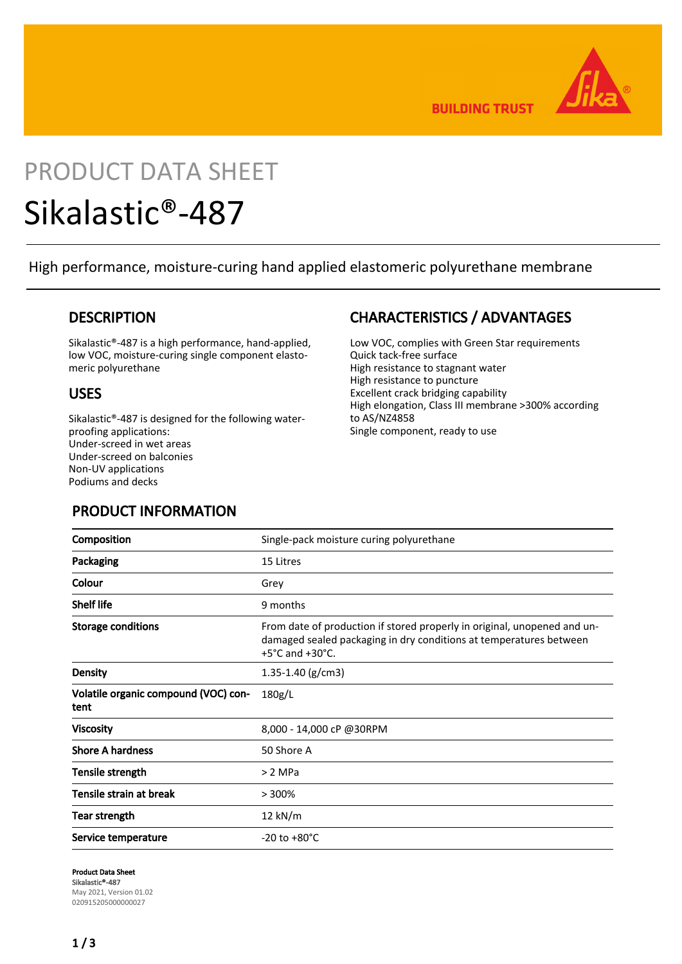

**BUILDING TRUST** 

## PRODUCT DATA SHEET

# Sikalastic®-487

High performance, moisture-curing hand applied elastomeric polyurethane membrane

#### **DESCRIPTION**

Sikalastic®-487 is a high performance, hand-applied, low VOC, moisture-curing single component elastomeric polyurethane

#### USES

Sikalastic®-487 is designed for the following waterproofing applications: Under-screed in wet areas Under-screed on balconies Non-UV applications Podiums and decks

## CHARACTERISTICS / ADVANTAGES

Low VOC, complies with Green Star requirements Quick tack-free surface High resistance to stagnant water High resistance to puncture Excellent crack bridging capability High elongation, Class III membrane >300% according to AS/NZ4858 Single component, ready to use

## PRODUCT INFORMATION

| Composition                                  | Single-pack moisture curing polyurethane                                                                                                                                              |  |
|----------------------------------------------|---------------------------------------------------------------------------------------------------------------------------------------------------------------------------------------|--|
| Packaging                                    | 15 Litres                                                                                                                                                                             |  |
| Colour                                       | Grey                                                                                                                                                                                  |  |
| <b>Shelf life</b>                            | 9 months                                                                                                                                                                              |  |
| <b>Storage conditions</b>                    | From date of production if stored properly in original, unopened and un-<br>damaged sealed packaging in dry conditions at temperatures between<br>$+5^{\circ}$ C and $+30^{\circ}$ C. |  |
| <b>Density</b>                               | 1.35-1.40 ( $g/cm3$ )                                                                                                                                                                 |  |
| Volatile organic compound (VOC) con-<br>tent | 180g/L                                                                                                                                                                                |  |
| <b>Viscosity</b>                             | 8,000 - 14,000 cP @30RPM                                                                                                                                                              |  |
| <b>Shore A hardness</b>                      | 50 Shore A                                                                                                                                                                            |  |
| Tensile strength                             | > 2 MPa                                                                                                                                                                               |  |
| Tensile strain at break                      | >300%                                                                                                                                                                                 |  |
| Tear strength                                | 12 kN/m                                                                                                                                                                               |  |
| Service temperature                          | $-20$ to $+80^{\circ}$ C                                                                                                                                                              |  |

Product Data Sheet Sikalastic®-487 May 2021, Version 01.02 020915205000000027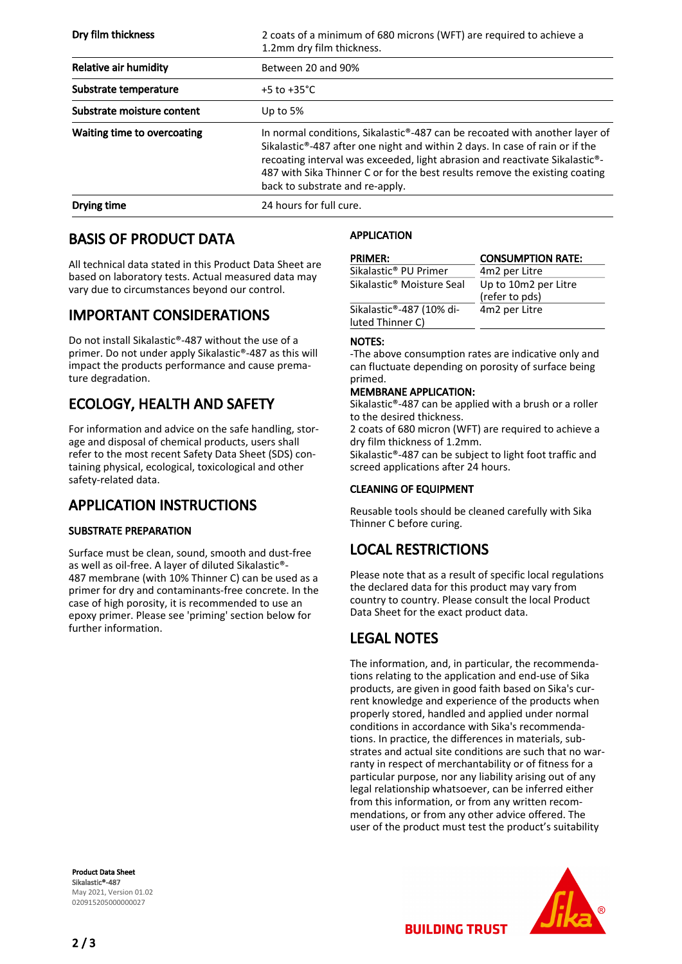| Dry film thickness          | 2 coats of a minimum of 680 microns (WFT) are required to achieve a<br>1.2mm dry film thickness.                                                                                                                                                                                                                                                             |  |
|-----------------------------|--------------------------------------------------------------------------------------------------------------------------------------------------------------------------------------------------------------------------------------------------------------------------------------------------------------------------------------------------------------|--|
| Relative air humidity       | Between 20 and 90%                                                                                                                                                                                                                                                                                                                                           |  |
| Substrate temperature       | +5 to +35 $^{\circ}$ C                                                                                                                                                                                                                                                                                                                                       |  |
| Substrate moisture content  | Up to $5%$                                                                                                                                                                                                                                                                                                                                                   |  |
| Waiting time to overcoating | In normal conditions, Sikalastic®-487 can be recoated with another layer of<br>Sikalastic®-487 after one night and within 2 days. In case of rain or if the<br>recoating interval was exceeded, light abrasion and reactivate Sikalastic®-<br>487 with Sika Thinner C or for the best results remove the existing coating<br>back to substrate and re-apply. |  |
| Drying time                 | 24 hours for full cure.                                                                                                                                                                                                                                                                                                                                      |  |

## BASIS OF PRODUCT DATA

All technical data stated in this Product Data Sheet are based on laboratory tests. Actual measured data may vary due to circumstances beyond our control.

#### IMPORTANT CONSIDERATIONS

Do not install Sikalastic®-487 without the use of a primer. Do not under apply Sikalastic®-487 as this will impact the products performance and cause premature degradation.

## ECOLOGY, HEALTH AND SAFETY

For information and advice on the safe handling, storage and disposal of chemical products, users shall refer to the most recent Safety Data Sheet (SDS) containing physical, ecological, toxicological and other safety-related data.

## APPLICATION INSTRUCTIONS

#### SUBSTRATE PREPARATION

Surface must be clean, sound, smooth and dust-free as well as oil-free. A layer of diluted Sikalastic®- 487 membrane (with 10% Thinner C) can be used as a primer for dry and contaminants-free concrete. In the case of high porosity, it is recommended to use an epoxy primer. Please see 'priming' section below for further information.

#### Product Data Sheet Sikalastic®-487 May 2021, Version 01.02 020915205000000027

#### APPLICATION

| <b>PRIMER:</b>                        | <b>CONSUMPTION RATE:</b> |
|---------------------------------------|--------------------------|
| Sikalastic® PU Primer                 | 4m2 per Litre            |
| Sikalastic <sup>®</sup> Moisture Seal | Up to 10m2 per Litre     |
|                                       | (refer to pds)           |
| Sikalastic®-487 (10% di-              | 4m2 per Litre            |
| luted Thinner C)                      |                          |

#### NOTES:

-The above consumption rates are indicative only and can fluctuate depending on porosity of surface being primed.

#### MEMBRANE APPLICATION:

Sikalastic®-487 can be applied with a brush or a roller to the desired thickness.

2 coats of 680 micron (WFT) are required to achieve a dry film thickness of 1.2mm.

Sikalastic®-487 can be subject to light foot traffic and screed applications after 24 hours.

#### CLEANING OF EQUIPMENT

Reusable tools should be cleaned carefully with Sika Thinner C before curing.

## LOCAL RESTRICTIONS

Please note that as a result of specific local regulations the declared data for this product may vary from country to country. Please consult the local Product Data Sheet for the exact product data.

## LEGAL NOTES

The information, and, in particular, the recommendations relating to the application and end-use of Sika products, are given in good faith based on Sika's current knowledge and experience of the products when properly stored, handled and applied under normal conditions in accordance with Sika's recommendations. In practice, the differences in materials, substrates and actual site conditions are such that no warranty in respect of merchantability or of fitness for a particular purpose, nor any liability arising out of any legal relationship whatsoever, can be inferred either from this information, or from any written recommendations, or from any other advice offered. The user of the product must test the product's suitability



**BUILDING TRUST**